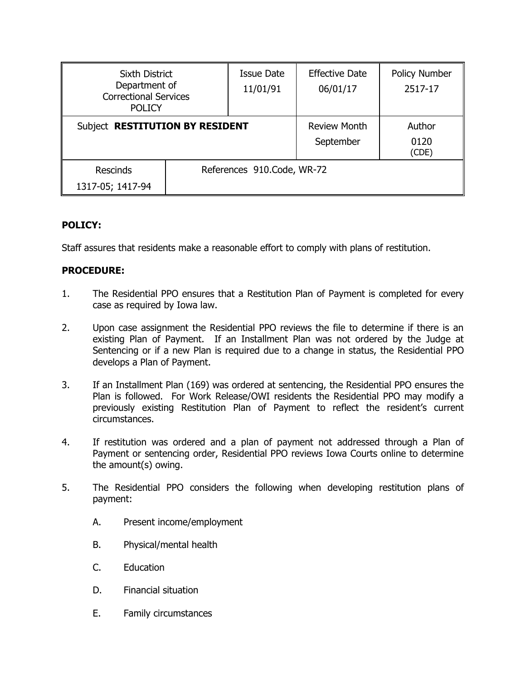| <b>Sixth District</b><br>Department of<br><b>Correctional Services</b><br><b>POLICY</b> |  | <b>Issue Date</b><br>11/01/91    | <b>Effective Date</b><br>06/01/17 | <b>Policy Number</b><br>2517-17 |
|-----------------------------------------------------------------------------------------|--|----------------------------------|-----------------------------------|---------------------------------|
| Subject RESTITUTION BY RESIDENT                                                         |  | <b>Review Month</b><br>September | Author<br>0120<br>(CDE)           |                                 |
| <b>Rescinds</b><br>1317-05; 1417-94                                                     |  | References 910.Code, WR-72       |                                   |                                 |

## **POLICY:**

Staff assures that residents make a reasonable effort to comply with plans of restitution.

## **PROCEDURE:**

- 1. The Residential PPO ensures that a Restitution Plan of Payment is completed for every case as required by Iowa law.
- 2. Upon case assignment the Residential PPO reviews the file to determine if there is an existing Plan of Payment. If an Installment Plan was not ordered by the Judge at Sentencing or if a new Plan is required due to a change in status, the Residential PPO develops a Plan of Payment.
- 3. If an Installment Plan (169) was ordered at sentencing, the Residential PPO ensures the Plan is followed. For Work Release/OWI residents the Residential PPO may modify a previously existing Restitution Plan of Payment to reflect the resident's current circumstances.
- 4. If restitution was ordered and a plan of payment not addressed through a Plan of Payment or sentencing order, Residential PPO reviews Iowa Courts online to determine the amount(s) owing.
- 5. The Residential PPO considers the following when developing restitution plans of payment:
	- A. Present income/employment
	- B. Physical/mental health
	- C. Education
	- D. Financial situation
	- E. Family circumstances